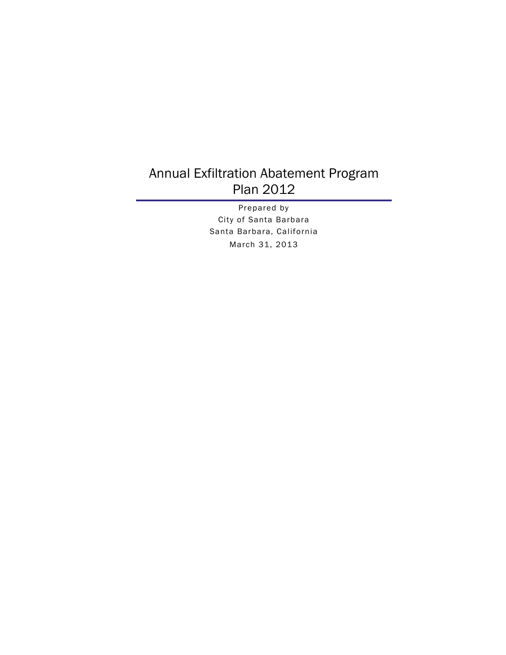#### Annual Exfiltration Abatement Program Plan 2012

Prepared by City of Santa Barbara Santa Barbara, California March 31, 2013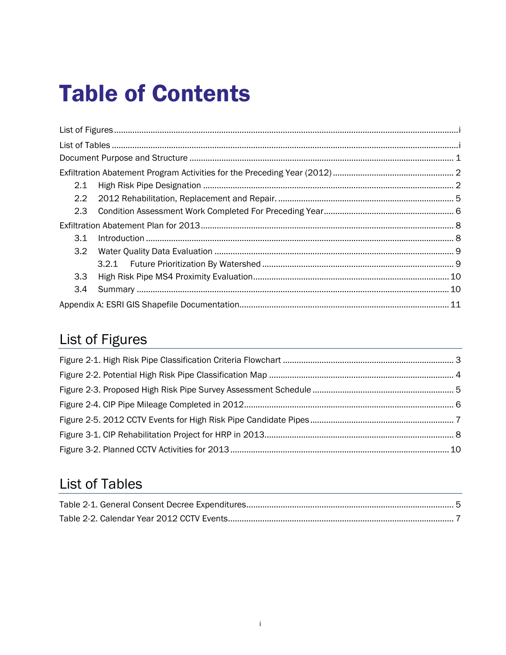# **Table of Contents**

| 2.1 |  |
|-----|--|
|     |  |
| 2.3 |  |
|     |  |
| 3.1 |  |
| 3.2 |  |
|     |  |
| 3.3 |  |
| 3.4 |  |
|     |  |

## List of Figures

### **List of Tables**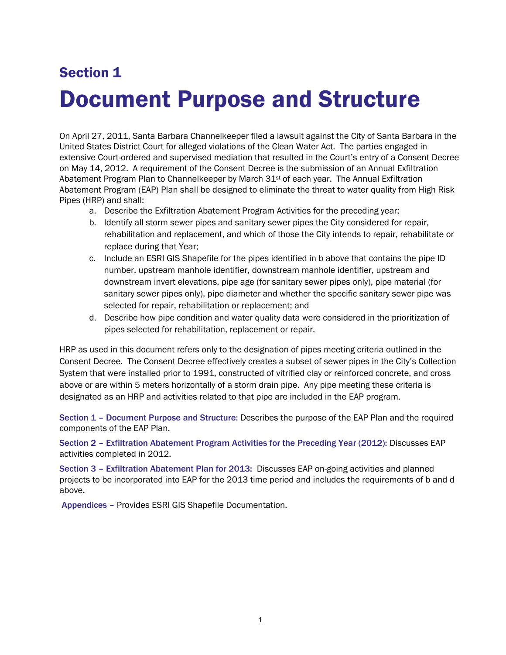## Section 1 Document Purpose and Structure

On April 27, 2011, Santa Barbara Channelkeeper filed a lawsuit against the City of Santa Barbara in the United States District Court for alleged violations of the Clean Water Act. The parties engaged in extensive Court-ordered and supervised mediation that resulted in the Court's entry of a Consent Decree on May 14, 2012. A requirement of the Consent Decree is the submission of an Annual Exfiltration Abatement Program Plan to Channelkeeper by March 31<sup>st</sup> of each year. The Annual Exfiltration Abatement Program (EAP) Plan shall be designed to eliminate the threat to water quality from High Risk Pipes (HRP) and shall:

- a. Describe the Exfiltration Abatement Program Activities for the preceding year;
- b. Identify all storm sewer pipes and sanitary sewer pipes the City considered for repair, rehabilitation and replacement, and which of those the City intends to repair, rehabilitate or replace during that Year;
- c. Include an ESRI GIS Shapefile for the pipes identified in b above that contains the pipe ID number, upstream manhole identifier, downstream manhole identifier, upstream and downstream invert elevations, pipe age (for sanitary sewer pipes only), pipe material (for sanitary sewer pipes only), pipe diameter and whether the specific sanitary sewer pipe was selected for repair, rehabilitation or replacement; and
- d. Describe how pipe condition and water quality data were considered in the prioritization of pipes selected for rehabilitation, replacement or repair.

HRP as used in this document refers only to the designation of pipes meeting criteria outlined in the Consent Decree. The Consent Decree effectively creates a subset of sewer pipes in the City's Collection System that were installed prior to 1991, constructed of vitrified clay or reinforced concrete, and cross above or are within 5 meters horizontally of a storm drain pipe. Any pipe meeting these criteria is designated as an HRP and activities related to that pipe are included in the EAP program.

Section 1 – Document Purpose and Structure: Describes the purpose of the EAP Plan and the required components of the EAP Plan.

Section 2 – Exfiltration Abatement Program Activities for the Preceding Year (2012): Discusses EAP activities completed in 2012.

Section 3 – Exfiltration Abatement Plan for 2013: Discusses EAP on-going activities and planned projects to be incorporated into EAP for the 2013 time period and includes the requirements of b and d above.

Appendices – Provides ESRI GIS Shapefile Documentation.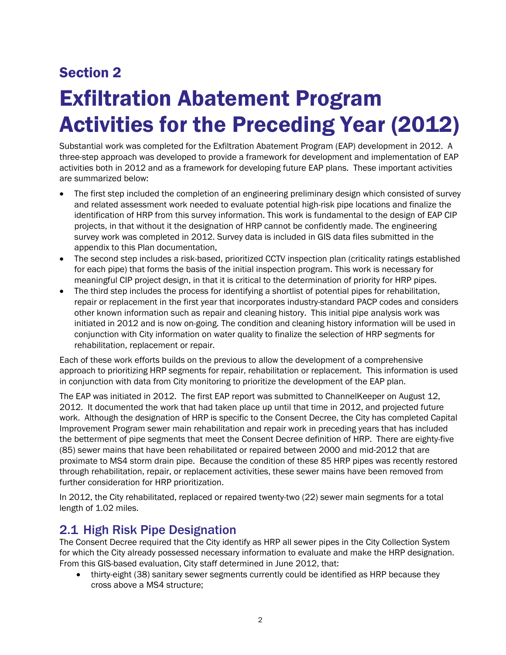### Section 2

# Exfiltration Abatement Program Activities for the Preceding Year (2012)

Substantial work was completed for the Exfiltration Abatement Program (EAP) development in 2012. A three-step approach was developed to provide a framework for development and implementation of EAP activities both in 2012 and as a framework for developing future EAP plans. These important activities are summarized below:

- The first step included the completion of an engineering preliminary design which consisted of survey and related assessment work needed to evaluate potential high-risk pipe locations and finalize the identification of HRP from this survey information. This work is fundamental to the design of EAP CIP projects, in that without it the designation of HRP cannot be confidently made. The engineering survey work was completed in 2012. Survey data is included in GIS data files submitted in the appendix to this Plan documentation.
- The second step includes a risk-based, prioritized CCTV inspection plan (criticality ratings established for each pipe) that forms the basis of the initial inspection program. This work is necessary for meaningful CIP project design, in that it is critical to the determination of priority for HRP pipes.
- The third step includes the process for identifying a shortlist of potential pipes for rehabilitation, repair or replacement in the first year that incorporates industry-standard PACP codes and considers other known information such as repair and cleaning history. This initial pipe analysis work was initiated in 2012 and is now on-going. The condition and cleaning history information will be used in conjunction with City information on water quality to finalize the selection of HRP segments for rehabilitation, replacement or repair.

Each of these work efforts builds on the previous to allow the development of a comprehensive approach to prioritizing HRP segments for repair, rehabilitation or replacement. This information is used in conjunction with data from City monitoring to prioritize the development of the EAP plan.

The EAP was initiated in 2012. The first EAP report was submitted to ChannelKeeper on August 12, 2012. It documented the work that had taken place up until that time in 2012, and projected future work. Although the designation of HRP is specific to the Consent Decree, the City has completed Capital Improvement Program sewer main rehabilitation and repair work in preceding years that has included the betterment of pipe segments that meet the Consent Decree definition of HRP. There are eighty-five (85) sewer mains that have been rehabilitated or repaired between 2000 and mid-2012 that are proximate to MS4 storm drain pipe. Because the condition of these 85 HRP pipes was recently restored through rehabilitation, repair, or replacement activities, these sewer mains have been removed from further consideration for HRP prioritization.

In 2012, the City rehabilitated, replaced or repaired twenty-two (22) sewer main segments for a total length of 1.02 miles.

#### 2.1 High Risk Pipe Designation

The Consent Decree required that the City identify as HRP all sewer pipes in the City Collection System for which the City already possessed necessary information to evaluate and make the HRP designation. From this GIS-based evaluation, City staff determined in June 2012, that:

 thirty-eight (38) sanitary sewer segments currently could be identified as HRP because they cross above a MS4 structure;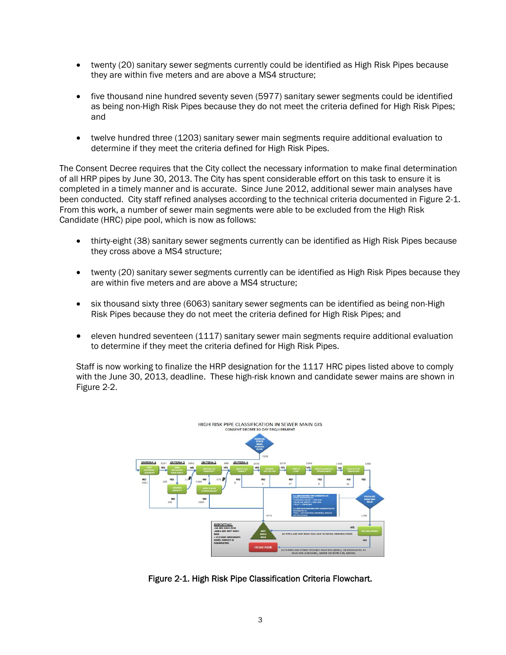- twenty (20) sanitary sewer segments currently could be identified as High Risk Pipes because they are within five meters and are above a MS4 structure;
- five thousand nine hundred seventy seven (5977) sanitary sewer segments could be identified as being non-High Risk Pipes because they do not meet the criteria defined for High Risk Pipes; and
- twelve hundred three (1203) sanitary sewer main segments require additional evaluation to determine if they meet the criteria defined for High Risk Pipes.

The Consent Decree requires that the City collect the necessary information to make final determination of all HRP pipes by June 30, 2013. The City has spent considerable effort on this task to ensure it is completed in a timely manner and is accurate. Since June 2012, additional sewer main analyses have been conducted. City staff refined analyses according to the technical criteria documented in Figure 2-1. From this work, a number of sewer main segments were able to be excluded from the High Risk Candidate (HRC) pipe pool, which is now as follows:

- thirty-eight (38) sanitary sewer segments currently can be identified as High Risk Pipes because they cross above a MS4 structure;
- twenty (20) sanitary sewer segments currently can be identified as High Risk Pipes because they are within five meters and are above a MS4 structure;
- six thousand sixty three (6063) sanitary sewer segments can be identified as being non-High Risk Pipes because they do not meet the criteria defined for High Risk Pipes; and
- eleven hundred seventeen (1117) sanitary sewer main segments require additional evaluation to determine if they meet the criteria defined for High Risk Pipes.

Staff is now working to finalize the HRP designation for the 1117 HRC pipes listed above to comply with the June 30, 2013, deadline. These high-risk known and candidate sewer mains are shown in Figure 2-2.



Figure 2-1. High Risk Pipe Classification Criteria Flowchart.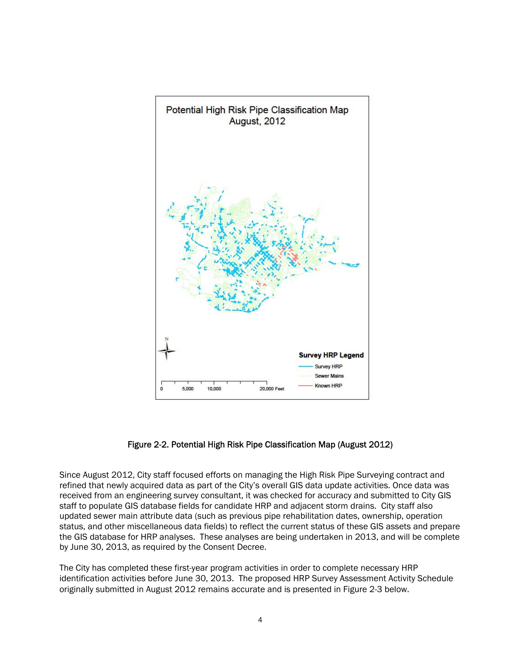

Figure 2-2. Potential High Risk Pipe Classification Map (August 2012)

Since August 2012, City staff focused efforts on managing the High Risk Pipe Surveying contract and refined that newly acquired data as part of the City's overall GIS data update activities. Once data was received from an engineering survey consultant, it was checked for accuracy and submitted to City GIS staff to populate GIS database fields for candidate HRP and adjacent storm drains. City staff also updated sewer main attribute data (such as previous pipe rehabilitation dates, ownership, operation status, and other miscellaneous data fields) to reflect the current status of these GIS assets and prepare the GIS database for HRP analyses. These analyses are being undertaken in 2013, and will be complete by June 30, 2013, as required by the Consent Decree.

The City has completed these first-year program activities in order to complete necessary HRP identification activities before June 30, 2013. The proposed HRP Survey Assessment Activity Schedule originally submitted in August 2012 remains accurate and is presented in Figure 2-3 below.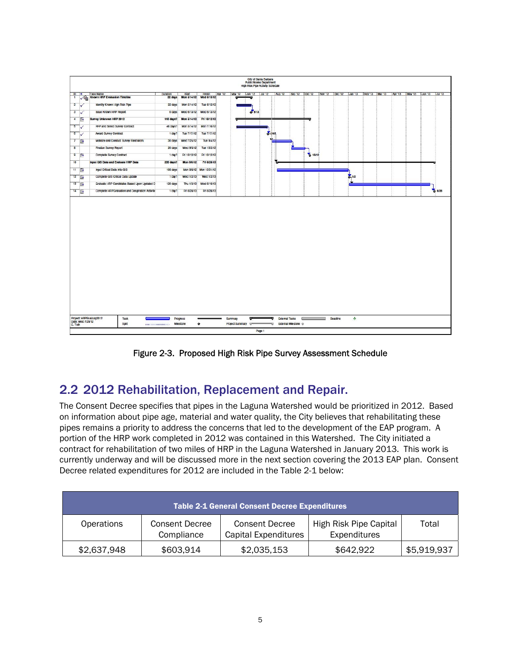|                         | City of Santa Barbara                                                     |                                                  |                      |                    |                                    |                 |                         |      |                                      |                                   |          |                                                                                         |  |  |      |
|-------------------------|---------------------------------------------------------------------------|--------------------------------------------------|----------------------|--------------------|------------------------------------|-----------------|-------------------------|------|--------------------------------------|-----------------------------------|----------|-----------------------------------------------------------------------------------------|--|--|------|
|                         | <b>Public Works Department</b><br><b>High Risk Pipe Activity Schedule</b> |                                                  |                      |                    |                                    |                 |                         |      |                                      |                                   |          |                                                                                         |  |  |      |
| $ D $ 9                 |                                                                           | <b>Task Name</b>                                 | Duration             | Start              | Finish                             | Apr '12         | May '12 Jun '12 Jul '12 |      | Aug '12   Sep '12   Oct '12          |                                   |          | Nov '12   Dec '12   Jan '13   Feb '13   Mar '13   Apr '13   May '13   Jun '13   Jul '13 |  |  |      |
| $\mathbf{1}$            |                                                                           | Known HRP Evaluation Timeline                    | 22 days              | <b>Mon 5/14/12</b> | Wed 6/13/12                        |                 | ₹                       |      |                                      |                                   |          |                                                                                         |  |  |      |
| $\overline{2}$          | w                                                                         | Identify Known High Risk Pipe                    | 22 days              | Mon 5/14/12        | Tue 6/12/12                        |                 |                         |      |                                      |                                   |          |                                                                                         |  |  |      |
| $\overline{\mathbf{3}}$ |                                                                           | <b>Issue Known HRP Report</b>                    | 0 days               | Wed 6/13/12        | Wed 6/13/12                        |                 | 6013                    |      |                                      |                                   |          |                                                                                         |  |  |      |
| $\overline{4}$          | <b>FR</b>                                                                 | Survey Unknown HRP 2012                          |                      |                    | 110 days? Mon 5/14/12 Fri 10/12/12 |                 |                         |      |                                      |                                   |          |                                                                                         |  |  |      |
| 5                       |                                                                           | RFP and Select Survey Contract                   | 46 days?             | Mon 5/14/12        | Mon 7/16/12                        |                 |                         |      |                                      |                                   |          |                                                                                         |  |  |      |
| $\overline{6}$          |                                                                           | Award Survey Contract                            | $1$ day $?$          | Tue 7/17/12        | Tue 7/17/12                        |                 |                         | 2.11 |                                      |                                   |          |                                                                                         |  |  |      |
| $\overline{7}$          | <b>FR</b>                                                                 | Mobilize and Conduct Survey Field Work           | 30 days              | Wed 7/25/12        | Tue 9/4/12                         |                 |                         |      |                                      |                                   |          |                                                                                         |  |  |      |
| $\overline{8}$          |                                                                           | Finalize Survey Report                           | 20 days              | Wed 9/5/12         | Tue 10/2/12                        |                 |                         |      |                                      |                                   |          |                                                                                         |  |  |      |
| 9                       | m                                                                         | Complete Survey Contract                         | $1$ day?             | Fri 10/12/12       | Fri 10/12/12                       |                 |                         |      |                                      | 6 10/12                           |          |                                                                                         |  |  |      |
| 10                      |                                                                           | Input GIS Data and Evaluate HRP Data             | 235 days?            | <b>Mon 8/6/12</b>  | Fri 6/28/13                        |                 |                         |      |                                      |                                   |          |                                                                                         |  |  |      |
| 11                      | Œ                                                                         | Input Critical Data Into GIS                     | 106 days             |                    | Mon 8/6/12 Mon 12/31/12            |                 |                         |      |                                      |                                   |          |                                                                                         |  |  |      |
| 12                      | T.                                                                        | Complete GIS Critical Data Updale                | $1$ day $?$          | Wed 1/2/13         | Wed 1/2/13                         |                 |                         |      |                                      |                                   |          | $2 - 1/2$                                                                               |  |  |      |
| 13                      | <b>Free</b>                                                               | Evaluate HRP Candidates Based Upon Updaled D     | 120 days             | Thu 1/3/13         | Wed 6/19/13                        |                 |                         |      |                                      |                                   |          |                                                                                         |  |  |      |
| 14                      |                                                                           | Complete HRPEvaluation and Desgination Activitie | 1 day?               | Fri 6/28/13        | Fri 6/28/13                        |                 |                         |      |                                      |                                   |          |                                                                                         |  |  | 6/28 |
|                         |                                                                           |                                                  |                      |                    |                                    |                 |                         |      |                                      |                                   |          |                                                                                         |  |  |      |
|                         |                                                                           | Project: HRPEvalJuly2012<br>Task                 |                      | Progress           |                                    | Summary         | <b>TOP</b>              | π    | <b>External Tasks</b>                | <b>Contract Contract Contract</b> | Deadline | $rac{1}{\sqrt{2}}$                                                                      |  |  |      |
| C. Toth                 | Date: Wed 7/25/12                                                         | Split                                            | -------------------- | Milestone          | ٠                                  | Project Summary |                         | w    | External Milestone $\Leftrightarrow$ |                                   |          |                                                                                         |  |  |      |
|                         |                                                                           |                                                  |                      |                    |                                    |                 | Page 1                  |      |                                      |                                   |          |                                                                                         |  |  |      |

Figure 2-3. Proposed High Risk Pipe Survey Assessment Schedule

#### 2.2 2012 Rehabilitation, Replacement and Repair.

The Consent Decree specifies that pipes in the Laguna Watershed would be prioritized in 2012. Based on information about pipe age, material and water quality, the City believes that rehabilitating these pipes remains a priority to address the concerns that led to the development of the EAP program. A portion of the HRP work completed in 2012 was contained in this Watershed. The City initiated a contract for rehabilitation of two miles of HRP in the Laguna Watershed in January 2013. This work is currently underway and will be discussed more in the next section covering the 2013 EAP plan. Consent Decree related expenditures for 2012 are included in the Table 2-1 below:

|             |                              | <b>Table 2-1 General Consent Decree Expenditures</b> |                                        |             |
|-------------|------------------------------|------------------------------------------------------|----------------------------------------|-------------|
| Operations  | Consent Decree<br>Compliance | <b>Consent Decree</b><br>Capital Expenditures        | High Risk Pipe Capital<br>Expenditures | Total       |
| \$2,637,948 | \$603,914                    | \$2,035,153                                          | \$642,922                              | \$5,919,937 |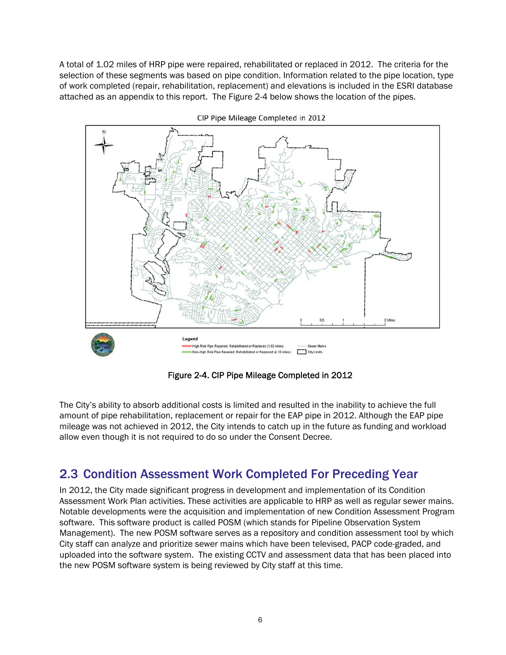A total of 1.02 miles of HRP pipe were repaired, rehabilitated or replaced in 2012. The criteria for the selection of these segments was based on pipe condition. Information related to the pipe location, type of work completed (repair, rehabilitation, replacement) and elevations is included in the ESRI database attached as an appendix to this report. The Figure 2-4 below shows the location of the pipes.



CIP Pipe Mileage Completed in 2012

Figure 2-4. CIP Pipe Mileage Completed in 2012

The City's ability to absorb additional costs is limited and resulted in the inability to achieve the full amount of pipe rehabilitation, replacement or repair for the EAP pipe in 2012. Although the EAP pipe mileage was not achieved in 2012, the City intends to catch up in the future as funding and workload allow even though it is not required to do so under the Consent Decree.

#### 2.3 Condition Assessment Work Completed For Preceding Year

In 2012, the City made significant progress in development and implementation of its Condition Assessment Work Plan activities. These activities are applicable to HRP as well as regular sewer mains. Notable developments were the acquisition and implementation of new Condition Assessment Program software. This software product is called POSM (which stands for Pipeline Observation System Management). The new POSM software serves as a repository and condition assessment tool by which City staff can analyze and prioritize sewer mains which have been televised, PACP code-graded, and uploaded into the software system. The existing CCTV and assessment data that has been placed into the new POSM software system is being reviewed by City staff at this time.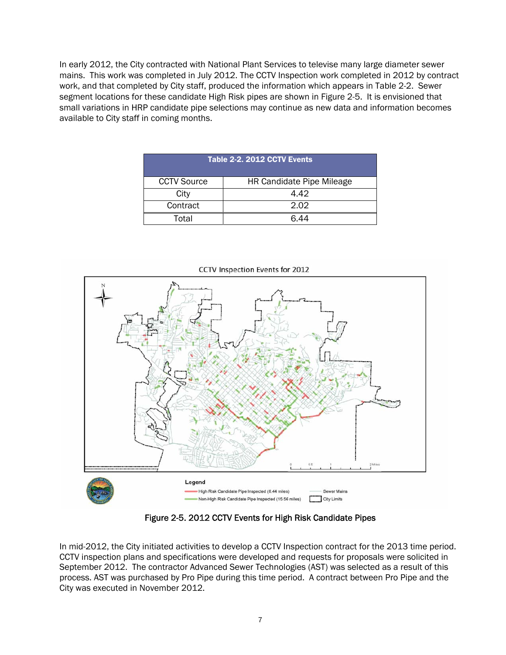In early 2012, the City contracted with National Plant Services to televise many large diameter sewer mains. This work was completed in July 2012. The CCTV Inspection work completed in 2012 by contract work, and that completed by City staff, produced the information which appears in Table 2-2. Sewer segment locations for these candidate High Risk pipes are shown in Figure 2-5. It is envisioned that small variations in HRP candidate pipe selections may continue as new data and information becomes available to City staff in coming months.

| Table 2-2, 2012 CCTV Events |                           |  |  |  |  |
|-----------------------------|---------------------------|--|--|--|--|
| <b>CCTV Source</b>          | HR Candidate Pipe Mileage |  |  |  |  |
| City                        | 4.42                      |  |  |  |  |
| Contract                    | 2.02                      |  |  |  |  |
| Total                       | 6 44                      |  |  |  |  |



Figure 2-5. 2012 CCTV Events for High Risk Candidate Pipes

In mid-2012, the City initiated activities to develop a CCTV Inspection contract for the 2013 time period. CCTV inspection plans and specifications were developed and requests for proposals were solicited in September 2012. The contractor Advanced Sewer Technologies (AST) was selected as a result of this process. AST was purchased by Pro Pipe during this time period. A contract between Pro Pipe and the City was executed in November 2012.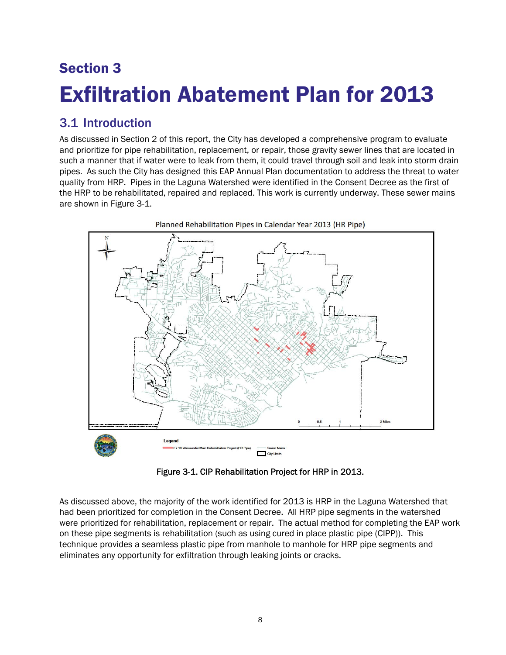## Section 3 Exfiltration Abatement Plan for 2013

#### 3.1 Introduction

As discussed in Section 2 of this report, the City has developed a comprehensive program to evaluate and prioritize for pipe rehabilitation, replacement, or repair, those gravity sewer lines that are located in such a manner that if water were to leak from them, it could travel through soil and leak into storm drain pipes. As such the City has designed this EAP Annual Plan documentation to address the threat to water quality from HRP. Pipes in the Laguna Watershed were identified in the Consent Decree as the first of the HRP to be rehabilitated, repaired and replaced. This work is currently underway. These sewer mains are shown in Figure 3-1.



Figure 3-1. CIP Rehabilitation Project for HRP in 2013.

As discussed above, the majority of the work identified for 2013 is HRP in the Laguna Watershed that had been prioritized for completion in the Consent Decree. All HRP pipe segments in the watershed were prioritized for rehabilitation, replacement or repair. The actual method for completing the EAP work on these pipe segments is rehabilitation (such as using cured in place plastic pipe (CIPP)). This technique provides a seamless plastic pipe from manhole to manhole for HRP pipe segments and eliminates any opportunity for exfiltration through leaking joints or cracks.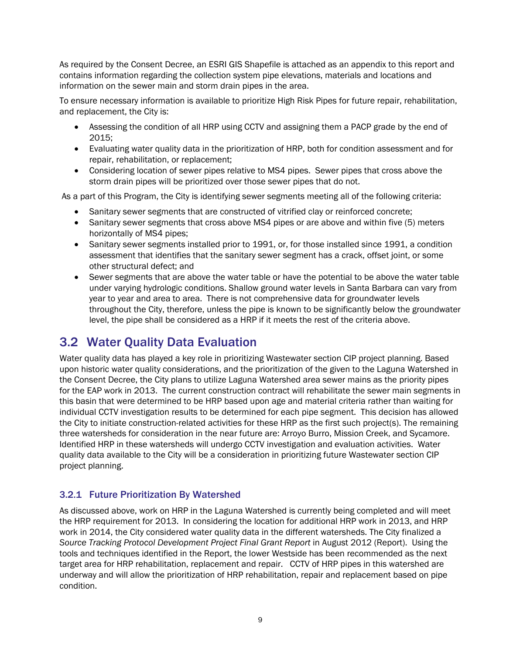As required by the Consent Decree, an ESRI GIS Shapefile is attached as an appendix to this report and contains information regarding the collection system pipe elevations, materials and locations and information on the sewer main and storm drain pipes in the area.

To ensure necessary information is available to prioritize High Risk Pipes for future repair, rehabilitation, and replacement, the City is:

- Assessing the condition of all HRP using CCTV and assigning them a PACP grade by the end of 2015;
- Evaluating water quality data in the prioritization of HRP, both for condition assessment and for repair, rehabilitation, or replacement;
- Considering location of sewer pipes relative to MS4 pipes. Sewer pipes that cross above the storm drain pipes will be prioritized over those sewer pipes that do not.

As a part of this Program, the City is identifying sewer segments meeting all of the following criteria:

- Sanitary sewer segments that are constructed of vitrified clay or reinforced concrete;
- Sanitary sewer segments that cross above MS4 pipes or are above and within five (5) meters horizontally of MS4 pipes;
- Sanitary sewer segments installed prior to 1991, or, for those installed since 1991, a condition assessment that identifies that the sanitary sewer segment has a crack, offset joint, or some other structural defect; and
- Sewer segments that are above the water table or have the potential to be above the water table under varying hydrologic conditions. Shallow ground water levels in Santa Barbara can vary from year to year and area to area. There is not comprehensive data for groundwater levels throughout the City, therefore, unless the pipe is known to be significantly below the groundwater level, the pipe shall be considered as a HRP if it meets the rest of the criteria above.

#### 3.2 Water Quality Data Evaluation

Water quality data has played a key role in prioritizing Wastewater section CIP project planning. Based upon historic water quality considerations, and the prioritization of the given to the Laguna Watershed in the Consent Decree, the City plans to utilize Laguna Watershed area sewer mains as the priority pipes for the EAP work in 2013. The current construction contract will rehabilitate the sewer main segments in this basin that were determined to be HRP based upon age and material criteria rather than waiting for individual CCTV investigation results to be determined for each pipe segment. This decision has allowed the City to initiate construction-related activities for these HRP as the first such project(s). The remaining three watersheds for consideration in the near future are: Arroyo Burro, Mission Creek, and Sycamore. Identified HRP in these watersheds will undergo CCTV investigation and evaluation activities. Water quality data available to the City will be a consideration in prioritizing future Wastewater section CIP project planning.

#### 3.2.1 Future Prioritization By Watershed

As discussed above, work on HRP in the Laguna Watershed is currently being completed and will meet the HRP requirement for 2013. In considering the location for additional HRP work in 2013, and HRP work in 2014, the City considered water quality data in the different watersheds. The City finalized a *Source Tracking Protocol Development Project Final Grant Report* in August 2012 (Report). Using the tools and techniques identified in the Report, the lower Westside has been recommended as the next target area for HRP rehabilitation, replacement and repair. CCTV of HRP pipes in this watershed are underway and will allow the prioritization of HRP rehabilitation, repair and replacement based on pipe condition.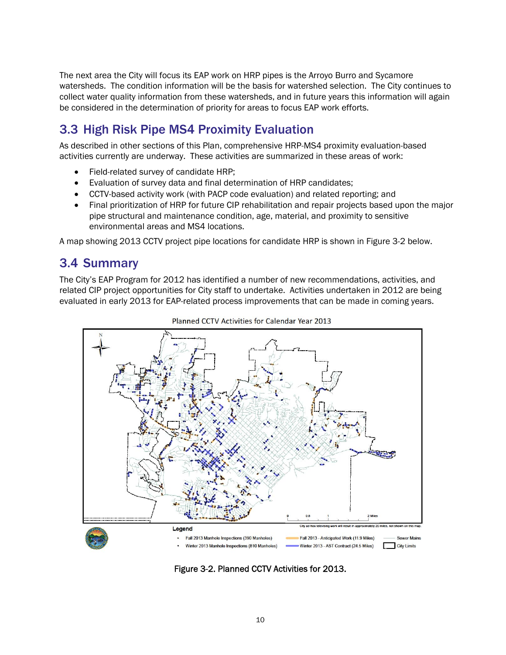The next area the City will focus its EAP work on HRP pipes is the Arroyo Burro and Sycamore watersheds. The condition information will be the basis for watershed selection. The City continues to collect water quality information from these watersheds, and in future years this information will again be considered in the determination of priority for areas to focus EAP work efforts.

#### 3.3 High Risk Pipe MS4 Proximity Evaluation

As described in other sections of this Plan, comprehensive HRP-MS4 proximity evaluation-based activities currently are underway. These activities are summarized in these areas of work:

- Field-related survey of candidate HRP;
- Evaluation of survey data and final determination of HRP candidates;
- CCTV-based activity work (with PACP code evaluation) and related reporting; and
- Final prioritization of HRP for future CIP rehabilitation and repair projects based upon the major pipe structural and maintenance condition, age, material, and proximity to sensitive environmental areas and MS4 locations.

A map showing 2013 CCTV project pipe locations for candidate HRP is shown in Figure 3-2 below.

#### 3.4 Summary

The City's EAP Program for 2012 has identified a number of new recommendations, activities, and related CIP project opportunities for City staff to undertake. Activities undertaken in 2012 are being evaluated in early 2013 for EAP-related process improvements that can be made in coming years.





Figure 3-2. Planned CCTV Activities for 2013.